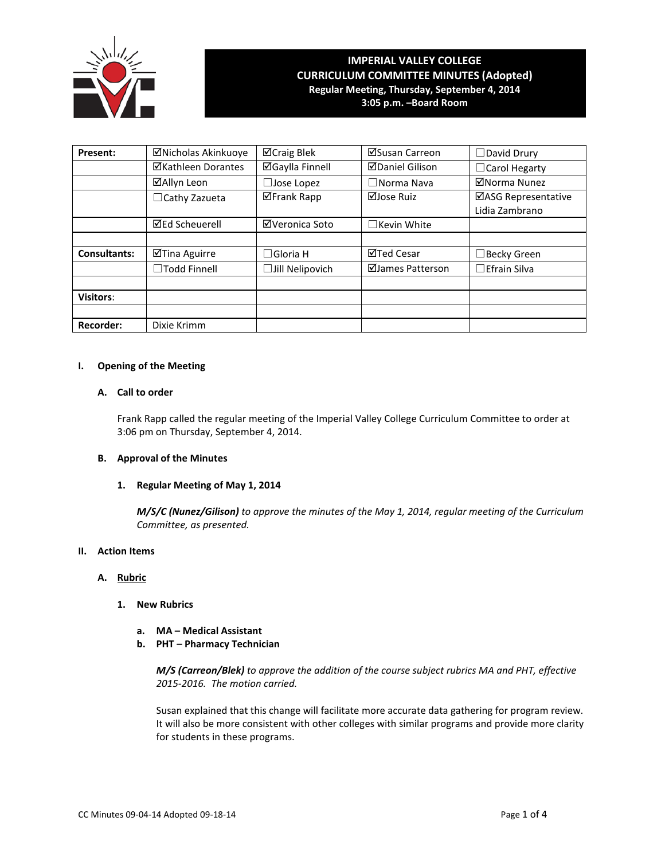

# **IMPERIAL VALLEY COLLEGE CURRICULUM COMMITTEE MINUTES (Adopted) Regular Meeting, Thursday, September 4, 2014**

**3:05 p.m. –Board Room**

| <b>Present:</b>     | ⊠Nicholas Akinkuoye   | ⊠Craig Blek              | ⊠Susan Carreon         | $\Box$ David Drury   |
|---------------------|-----------------------|--------------------------|------------------------|----------------------|
|                     | ⊠Kathleen Dorantes    | ⊠Gaylla Finnell          | <b>⊠Daniel Gilison</b> | $\Box$ Carol Hegarty |
|                     | ⊠Allyn Leon           | $\Box$ Jose Lopez        | $\square$ Norma Nava   | ⊠Norma Nunez         |
|                     | $\Box$ Cathy Zazueta  | <b>ØFrank Rapp</b>       | ⊠Jose Ruiz             | ⊠ASG Representative  |
|                     |                       |                          |                        | Lidia Zambrano       |
|                     | <b>⊠Ed Scheuerell</b> | ⊠Veronica Soto           | $\Box$ Kevin White     |                      |
|                     |                       |                          |                        |                      |
| <b>Consultants:</b> | ⊠Tina Aguirre         | $\Box$ Gloria Hoisington | ⊠Ted Cesar             | $\Box$ Becky Green   |
|                     | □Todd Finnell         | $\Box$ Jill Nelipovich   | ⊠James Patterson       | $\Box$ Efrain Silva  |
|                     |                       |                          |                        |                      |
| <b>Visitors:</b>    |                       |                          |                        |                      |
|                     |                       |                          |                        |                      |
| <b>Recorder:</b>    | Dixie Krimm           |                          |                        |                      |

## **I. Opening of the Meeting**

## **A. Call to order**

Frank Rapp called the regular meeting of the Imperial Valley College Curriculum Committee to order at 3:06 pm on Thursday, September 4, 2014.

# **B. Approval of the Minutes**

# **1. Regular Meeting of May 1, 2014**

*M/S/C (Nunez/Gilison) to approve the minutes of the May 1, 2014, regular meeting of the Curriculum Committee, as presented.*

## **II. Action Items**

#### **A. Rubric**

- **1. New Rubrics**
	- **a. MA Medical Assistant**
	- **b. PHT Pharmacy Technician**

*M/S (Carreon/Blek) to approve the addition of the course subject rubrics MA and PHT, effective 2015-2016. The motion carried.*

Susan explained that this change will facilitate more accurate data gathering for program review. It will also be more consistent with other colleges with similar programs and provide more clarity for students in these programs.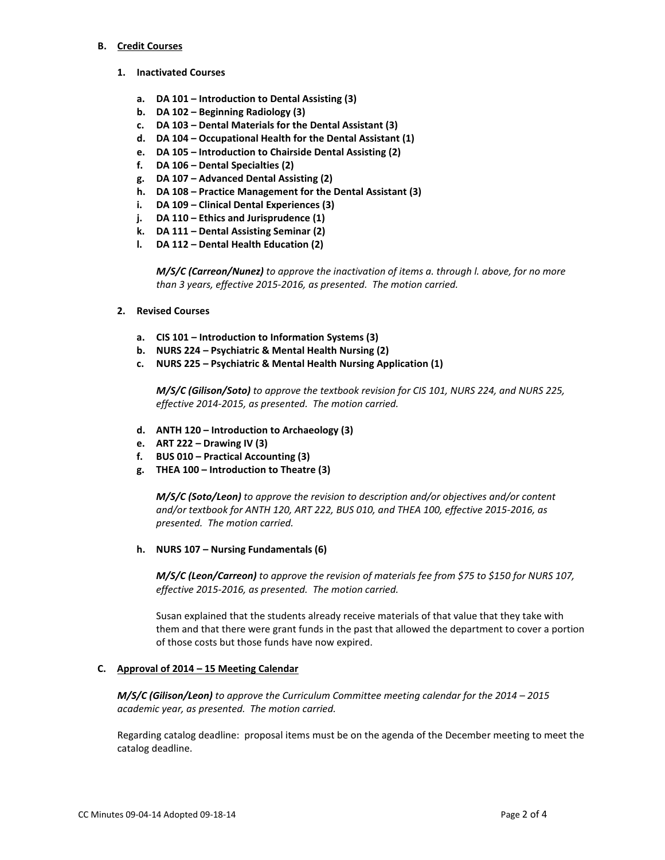#### **B. Credit Courses**

- **1. Inactivated Courses**
	- **a. DA 101 – Introduction to Dental Assisting (3)**
	- **b. DA 102 – Beginning Radiology (3)**
	- **c. DA 103 – Dental Materials for the Dental Assistant (3)**
	- **d. DA 104 – Occupational Health for the Dental Assistant (1)**
	- **e. DA 105 – Introduction to Chairside Dental Assisting (2)**
	- **f. DA 106 – Dental Specialties (2)**
	- **g. DA 107 – Advanced Dental Assisting (2)**
	- **h. DA 108 – Practice Management for the Dental Assistant (3)**
	- **i. DA 109 – Clinical Dental Experiences (3)**
	- **j. DA 110 – Ethics and Jurisprudence (1)**
	- **k. DA 111 – Dental Assisting Seminar (2)**
	- **l. DA 112 – Dental Health Education (2)**

*M/S/C (Carreon/Nunez) to approve the inactivation of items a. through l. above, for no more than 3 years, effective 2015-2016, as presented. The motion carried.*

- **2. Revised Courses**
	- **a. CIS 101 – Introduction to Information Systems (3)**
	- **b. NURS 224 – Psychiatric & Mental Health Nursing (2)**
	- **c. NURS 225 – Psychiatric & Mental Health Nursing Application (1)**

*M/S/C (Gilison/Soto) to approve the textbook revision for CIS 101, NURS 224, and NURS 225, effective 2014-2015, as presented. The motion carried.*

- **d. ANTH 120 – Introduction to Archaeology (3)**
- **e. ART 222 – Drawing IV (3)**
- **f. BUS 010 – Practical Accounting (3)**
- **g. THEA 100 – Introduction to Theatre (3)**

*M/S/C (Soto/Leon) to approve the revision to description and/or objectives and/or content and/or textbook for ANTH 120, ART 222, BUS 010, and THEA 100, effective 2015-2016, as presented. The motion carried.*

**h. NURS 107 – Nursing Fundamentals (6)**

*M/S/C (Leon/Carreon) to approve the revision of materials fee from \$75 to \$150 for NURS 107, effective 2015-2016, as presented. The motion carried.*

Susan explained that the students already receive materials of that value that they take with them and that there were grant funds in the past that allowed the department to cover a portion of those costs but those funds have now expired.

# **C. Approval of 2014 – 15 Meeting Calendar**

*M/S/C (Gilison/Leon) to approve the Curriculum Committee meeting calendar for the 2014 – 2015 academic year, as presented. The motion carried.* 

Regarding catalog deadline: proposal items must be on the agenda of the December meeting to meet the catalog deadline.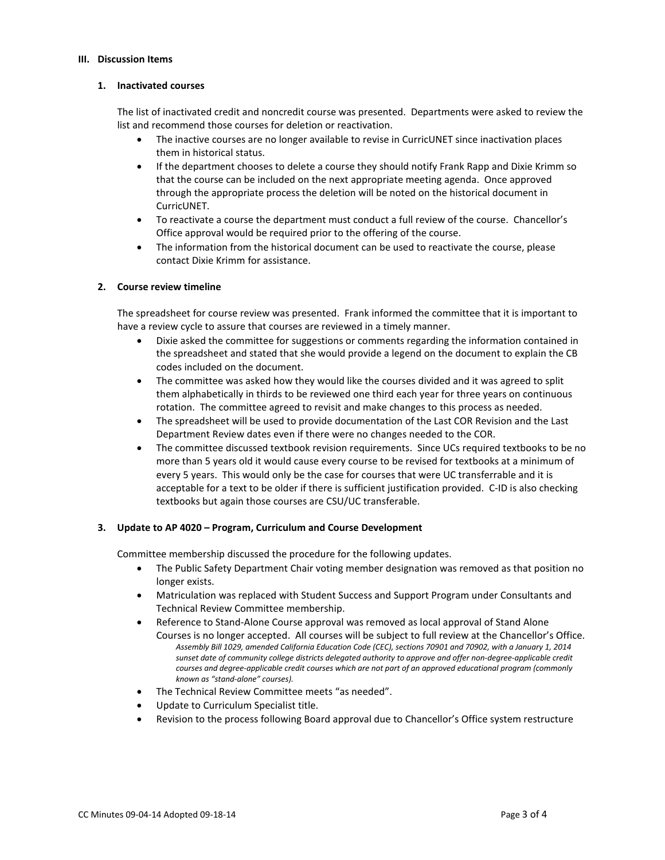#### **III. Discussion Items**

## **1. Inactivated courses**

The list of inactivated credit and noncredit course was presented. Departments were asked to review the list and recommend those courses for deletion or reactivation.

- The inactive courses are no longer available to revise in CurricUNET since inactivation places them in historical status.
- If the department chooses to delete a course they should notify Frank Rapp and Dixie Krimm so that the course can be included on the next appropriate meeting agenda. Once approved through the appropriate process the deletion will be noted on the historical document in CurricUNET.
- To reactivate a course the department must conduct a full review of the course. Chancellor's Office approval would be required prior to the offering of the course.
- The information from the historical document can be used to reactivate the course, please contact Dixie Krimm for assistance.

# **2. Course review timeline**

The spreadsheet for course review was presented. Frank informed the committee that it is important to have a review cycle to assure that courses are reviewed in a timely manner.

- Dixie asked the committee for suggestions or comments regarding the information contained in the spreadsheet and stated that she would provide a legend on the document to explain the CB codes included on the document.
- The committee was asked how they would like the courses divided and it was agreed to split them alphabetically in thirds to be reviewed one third each year for three years on continuous rotation. The committee agreed to revisit and make changes to this process as needed.
- The spreadsheet will be used to provide documentation of the Last COR Revision and the Last Department Review dates even if there were no changes needed to the COR.
- The committee discussed textbook revision requirements. Since UCs required textbooks to be no more than 5 years old it would cause every course to be revised for textbooks at a minimum of every 5 years. This would only be the case for courses that were UC transferrable and it is acceptable for a text to be older if there is sufficient justification provided. C-ID is also checking textbooks but again those courses are CSU/UC transferable.

# **3. Update to AP 4020 – Program, Curriculum and Course Development**

Committee membership discussed the procedure for the following updates.

- The Public Safety Department Chair voting member designation was removed as that position no longer exists.
- Matriculation was replaced with Student Success and Support Program under Consultants and Technical Review Committee membership.
- Reference to Stand-Alone Course approval was removed as local approval of Stand Alone Courses is no longer accepted. All courses will be subject to full review at the Chancellor's Office. *Assembly Bill 1029, amended California Education Code (CEC), sections 70901 and 70902, with a January 1, 2014 sunset date of community college districts delegated authority to approve and offer non-degree-applicable credit courses and degree-applicable credit courses which are not part of an approved educational program (commonly known as "stand-alone" courses).*
- The Technical Review Committee meets "as needed".
- Update to Curriculum Specialist title.
- Revision to the process following Board approval due to Chancellor's Office system restructure